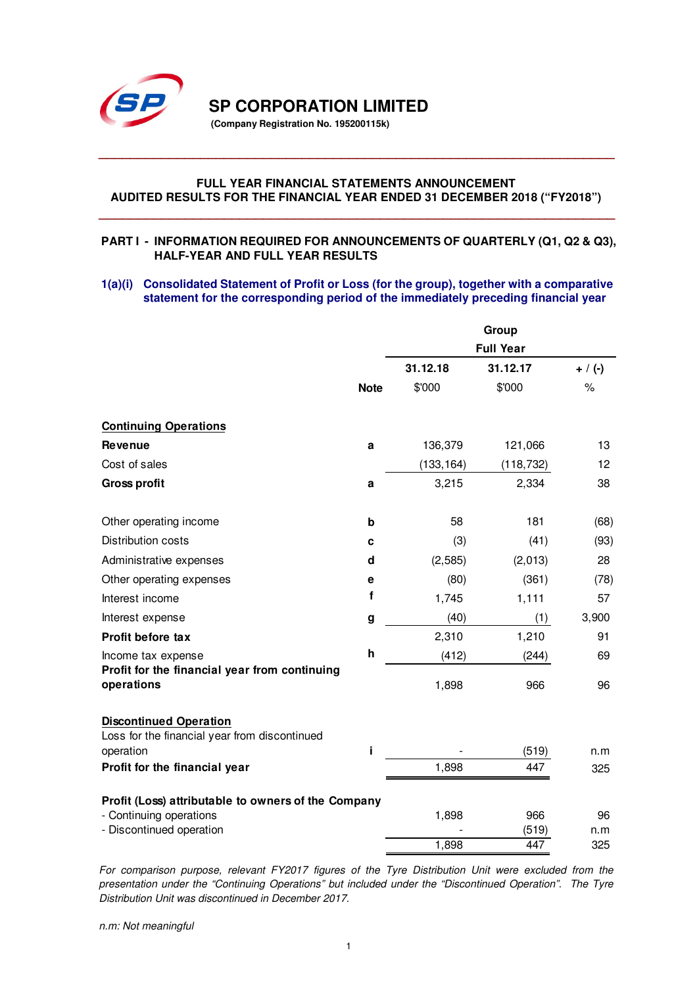

**SP CORPORATION LIMITED** 

**(Company Registration No. 195200115k)** 

# **FULL YEAR FINANCIAL STATEMENTS ANNOUNCEMENT AUDITED RESULTS FOR THE FINANCIAL YEAR ENDED 31 DECEMBER 2018 ("FY2018")**

**\_\_\_\_\_\_\_\_\_\_\_\_\_\_\_\_\_\_\_\_\_\_\_\_\_\_\_\_\_\_\_\_\_\_\_\_\_\_\_\_\_\_\_\_\_\_\_\_\_\_\_\_\_\_\_\_\_\_\_\_\_\_\_\_\_\_** 

## **PART I - INFORMATION REQUIRED FOR ANNOUNCEMENTS OF QUARTERLY (Q1, Q2 & Q3), HALF-YEAR AND FULL YEAR RESULTS**

**\_\_\_\_\_\_\_\_\_\_\_\_\_\_\_\_\_\_\_\_\_\_\_\_\_\_\_\_\_\_\_\_\_\_\_\_\_\_\_\_\_\_\_\_\_\_\_\_\_\_\_\_\_\_\_\_\_\_\_\_\_\_\_\_\_\_** 

## **1(a)(i) Consolidated Statement of Profit or Loss (for the group), together with a comparative statement for the corresponding period of the immediately preceding financial year**

|                                                                                |             | Group      |                  |               |  |
|--------------------------------------------------------------------------------|-------------|------------|------------------|---------------|--|
|                                                                                |             |            | <b>Full Year</b> |               |  |
|                                                                                |             | 31.12.18   | 31.12.17         | $+ / (-)$     |  |
|                                                                                | <b>Note</b> | \$'000     | \$'000           | $\frac{9}{6}$ |  |
| <b>Continuing Operations</b>                                                   |             |            |                  |               |  |
| <b>Revenue</b>                                                                 | a           | 136,379    | 121,066          | 13            |  |
| Cost of sales                                                                  |             | (133, 164) | (118, 732)       | 12            |  |
| <b>Gross profit</b>                                                            | a           | 3,215      | 2,334            | 38            |  |
| Other operating income                                                         | b           | 58         | 181              | (68)          |  |
| <b>Distribution costs</b>                                                      | C           | (3)        | (41)             | (93)          |  |
| Administrative expenses                                                        | d           | (2, 585)   | (2,013)          | 28            |  |
| Other operating expenses                                                       | е           | (80)       | (361)            | (78)          |  |
| Interest income                                                                | f           | 1,745      | 1,111            | 57            |  |
| Interest expense                                                               | g           | (40)       | (1)              | 3,900         |  |
| <b>Profit before tax</b>                                                       |             | 2,310      | 1,210            | 91            |  |
| Income tax expense                                                             | h           | (412)      | (244)            | 69            |  |
| Profit for the financial year from continuing<br>operations                    |             | 1,898      | 966              | 96            |  |
| <b>Discontinued Operation</b><br>Loss for the financial year from discontinued |             |            |                  |               |  |
| operation                                                                      | i           |            | (519)            | n.m           |  |
| Profit for the financial year                                                  |             | 1,898      | 447              | 325           |  |
| Profit (Loss) attributable to owners of the Company                            |             |            |                  |               |  |
| - Continuing operations                                                        |             | 1,898      | 966              | 96            |  |
| - Discontinued operation                                                       |             |            | (519)            | n.m           |  |
|                                                                                |             | 1,898      | 447              | 325           |  |

*For comparison purpose, relevant FY2017 figures of the Tyre Distribution Unit were excluded from the presentation under the "Continuing Operations" but included under the "Discontinued Operation". The Tyre Distribution Unit was discontinued in December 2017.* 

*n.m: Not meaningful*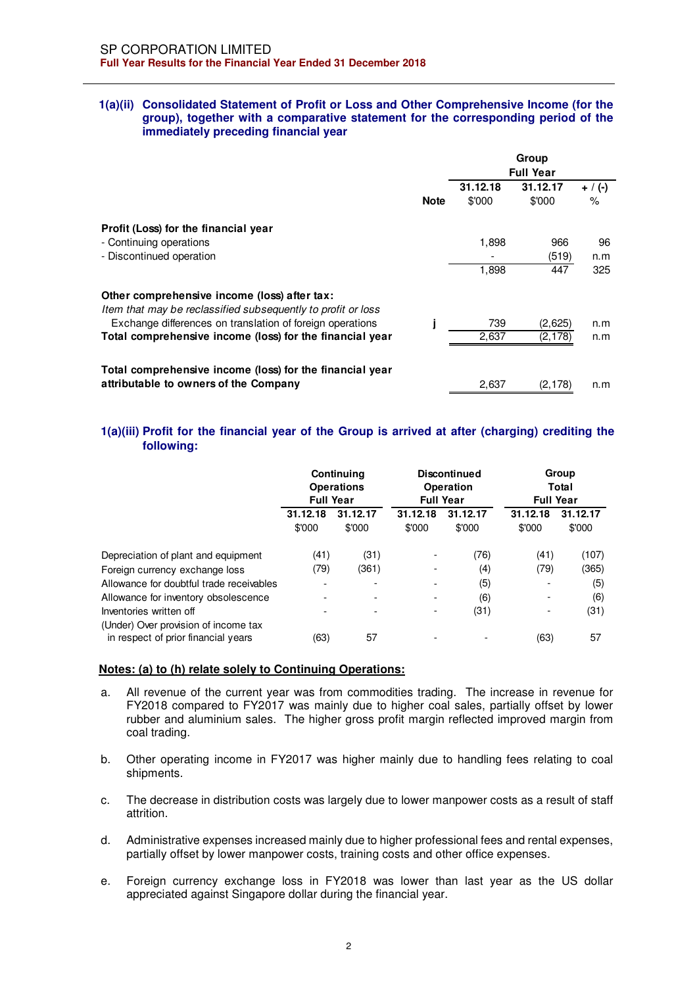#### **1(a)(ii) Consolidated Statement of Profit or Loss and Other Comprehensive Income (for the group), together with a comparative statement for the corresponding period of the immediately preceding financial year**

|                                                                                                              | Group<br><b>Full Year</b> |                    |                    |                   |
|--------------------------------------------------------------------------------------------------------------|---------------------------|--------------------|--------------------|-------------------|
|                                                                                                              | <b>Note</b>               | 31.12.18<br>\$'000 | 31.12.17<br>\$'000 | $+$ / (-)<br>$\%$ |
| Profit (Loss) for the financial year                                                                         |                           |                    |                    |                   |
| - Continuing operations                                                                                      |                           | 1,898              | 966                | 96                |
| - Discontinued operation                                                                                     |                           |                    | (519)              | n.m               |
|                                                                                                              |                           | 1,898              | 447                | 325               |
| Other comprehensive income (loss) after tax:<br>Item that may be reclassified subsequently to profit or loss |                           |                    |                    |                   |
| Exchange differences on translation of foreign operations                                                    |                           | 739                | (2,625)            | n.m               |
| Total comprehensive income (loss) for the financial year                                                     |                           | 2,637              | (2, 178)           | n.m               |
| Total comprehensive income (loss) for the financial year                                                     |                           |                    |                    |                   |
| attributable to owners of the Company                                                                        |                           | 2,637              | (2, 178)           | n.m               |

## **1(a)(iii) Profit for the financial year of the Group is arrived at after (charging) crediting the following:**

|                                                                 | Continuing<br><b>Operations</b><br><b>Full Year</b> |                          | <b>Discontinued</b><br>Operation<br><b>Full Year</b> |          | Group<br>Total<br><b>Full Year</b> |          |
|-----------------------------------------------------------------|-----------------------------------------------------|--------------------------|------------------------------------------------------|----------|------------------------------------|----------|
|                                                                 | 31.12.18                                            | 31.12.17                 | 31.12.18                                             | 31.12.17 | 31.12.18                           | 31.12.17 |
|                                                                 | \$'000                                              | \$'000                   | \$'000                                               | \$'000   | \$'000                             | \$'000   |
| Depreciation of plant and equipment                             | (41)                                                | (31)                     |                                                      | (76)     | (41)                               | (107)    |
| Foreign currency exchange loss                                  | (79)                                                | (361)                    |                                                      | (4)      | (79)                               | (365)    |
| Allowance for doubtful trade receivables                        |                                                     | $\overline{\phantom{0}}$ | $\overline{\phantom{a}}$                             | (5)      |                                    | (5)      |
| Allowance for inventory obsolescence                            |                                                     |                          | $\overline{\phantom{a}}$                             | (6)      |                                    | (6)      |
| Inventories written off<br>(Under) Over provision of income tax |                                                     | $\overline{\phantom{0}}$ |                                                      | (31)     |                                    | (31)     |
| in respect of prior financial years                             | (63)                                                | 57                       |                                                      |          | (63)                               | 57       |

#### **Notes: (a) to (h) relate solely to Continuing Operations:**

- a. All revenue of the current year was from commodities trading. The increase in revenue for FY2018 compared to FY2017 was mainly due to higher coal sales, partially offset by lower rubber and aluminium sales. The higher gross profit margin reflected improved margin from coal trading.
- b. Other operating income in FY2017 was higher mainly due to handling fees relating to coal shipments.
- c. The decrease in distribution costs was largely due to lower manpower costs as a result of staff attrition.
- d. Administrative expenses increased mainly due to higher professional fees and rental expenses, partially offset by lower manpower costs, training costs and other office expenses.
- e. Foreign currency exchange loss in FY2018 was lower than last year as the US dollar appreciated against Singapore dollar during the financial year.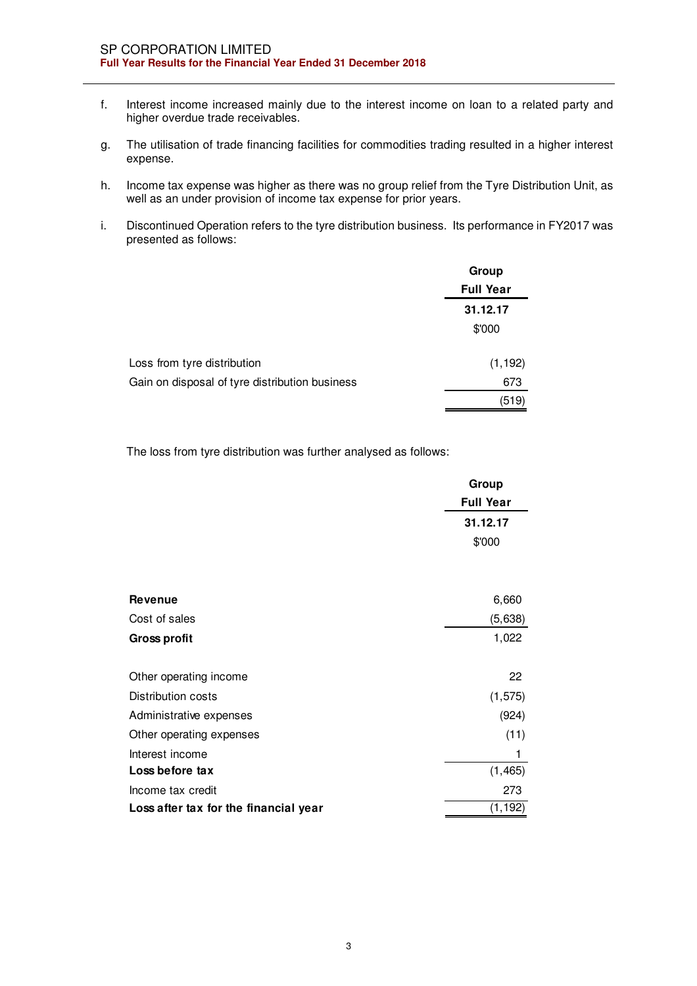- f. Interest income increased mainly due to the interest income on loan to a related party and higher overdue trade receivables.
- g. The utilisation of trade financing facilities for commodities trading resulted in a higher interest expense.
- h. Income tax expense was higher as there was no group relief from the Tyre Distribution Unit, as well as an under provision of income tax expense for prior years.
- i. Discontinued Operation refers to the tyre distribution business. Its performance in FY2017 was presented as follows:

|                                                | Group            |
|------------------------------------------------|------------------|
|                                                | <b>Full Year</b> |
|                                                | 31.12.17         |
|                                                | \$'000           |
| Loss from tyre distribution                    | (1, 192)         |
| Gain on disposal of tyre distribution business | 673              |
|                                                | (519)            |

The loss from tyre distribution was further analysed as follows:

|                                       | Group            |
|---------------------------------------|------------------|
|                                       | <b>Full Year</b> |
|                                       | 31.12.17         |
|                                       | \$'000           |
|                                       |                  |
| <b>Revenue</b>                        | 6,660            |
| Cost of sales                         | (5,638)          |
| <b>Gross profit</b>                   | 1,022            |
| Other operating income                | 22               |
| Distribution costs                    | (1, 575)         |
| Administrative expenses               | (924)            |
| Other operating expenses              | (11)             |
| Interest income                       | 1                |
| Loss before tax                       | (1, 465)         |
| Income tax credit                     | 273              |
| Loss after tax for the financial year | (1, 192)         |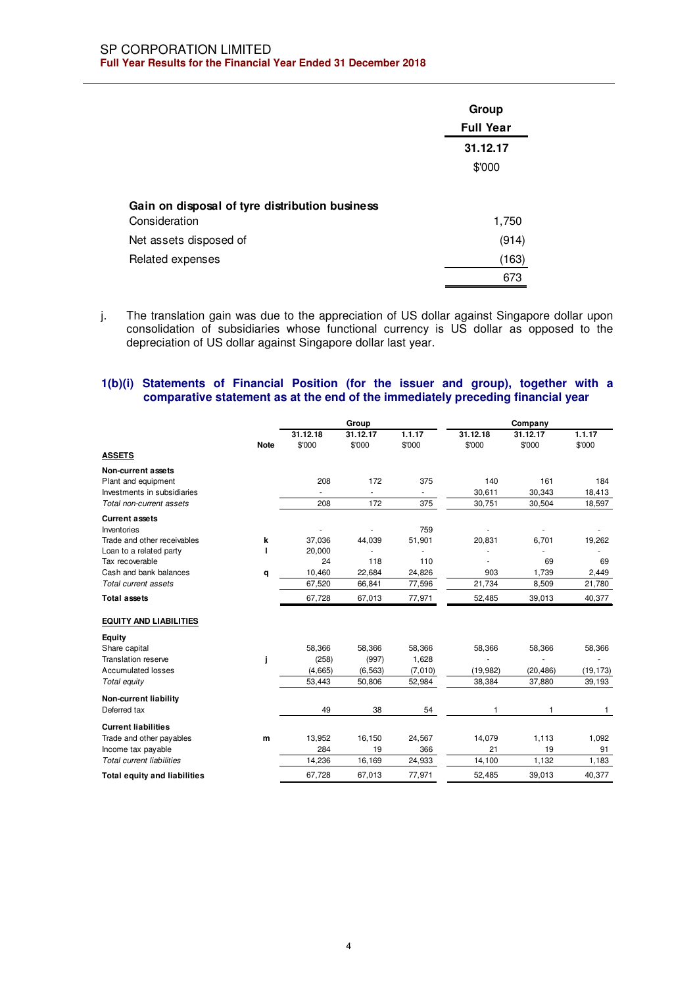|                                                | Group<br><b>Full Year</b> |
|------------------------------------------------|---------------------------|
|                                                | 31.12.17<br>\$'000        |
| Gain on disposal of tyre distribution business |                           |
| Consideration<br>Net assets disposed of        | 1,750<br>(914)            |
| Related expenses                               | (163)                     |
|                                                | 673                       |

j. The translation gain was due to the appreciation of US dollar against Singapore dollar upon consolidation of subsidiaries whose functional currency is US dollar as opposed to the depreciation of US dollar against Singapore dollar last year.

## **1(b)(i) Statements of Financial Position (for the issuer and group), together with a comparative statement as at the end of the immediately preceding financial year**

| Group    |                                            |                                   |                                                                        |                         |                                          |  |  |
|----------|--------------------------------------------|-----------------------------------|------------------------------------------------------------------------|-------------------------|------------------------------------------|--|--|
| 31.12.18 | 31.12.17                                   | 1.1.17                            | 31.12.18                                                               | 31.12.17                | 1.1.17                                   |  |  |
| \$'000   | \$'000                                     | \$'000                            | \$'000                                                                 | \$'000                  | \$'000                                   |  |  |
|          |                                            |                                   |                                                                        |                         |                                          |  |  |
|          |                                            |                                   |                                                                        |                         |                                          |  |  |
| 208      | 172                                        | 375                               | 140                                                                    | 161                     | 184                                      |  |  |
|          |                                            |                                   | 30,611                                                                 | 30,343                  | 18,413                                   |  |  |
| 208      | 172                                        | 375                               | 30,751                                                                 | 30,504                  | 18,597                                   |  |  |
|          |                                            |                                   |                                                                        |                         |                                          |  |  |
|          | ÷,                                         |                                   |                                                                        |                         |                                          |  |  |
|          |                                            |                                   |                                                                        |                         | 19,262                                   |  |  |
|          |                                            |                                   |                                                                        |                         |                                          |  |  |
|          |                                            |                                   |                                                                        |                         | 69                                       |  |  |
|          |                                            |                                   |                                                                        |                         | 2,449                                    |  |  |
|          |                                            |                                   |                                                                        |                         | 21,780                                   |  |  |
| 67,728   | 67,013                                     | 77,971                            | 52,485                                                                 | 39,013                  | 40,377                                   |  |  |
|          |                                            |                                   |                                                                        |                         |                                          |  |  |
|          |                                            |                                   |                                                                        |                         |                                          |  |  |
| 58,366   | 58,366                                     | 58,366                            | 58,366                                                                 | 58,366                  | 58,366                                   |  |  |
| (258)    | (997)                                      | 1,628                             |                                                                        |                         |                                          |  |  |
| (4,665)  | (6, 563)                                   | (7,010)                           | (19, 982)                                                              | (20, 486)               | (19, 173)                                |  |  |
| 53,443   | 50,806                                     | 52,984                            | 38,384                                                                 | 37,880                  | 39,193                                   |  |  |
|          |                                            |                                   |                                                                        |                         |                                          |  |  |
| 49       | 38                                         | 54                                | $\mathbf{1}$                                                           | $\mathbf{1}$            | 1                                        |  |  |
|          |                                            |                                   |                                                                        |                         |                                          |  |  |
| 13,952   | 16,150                                     | 24,567                            | 14,079                                                                 | 1,113                   | 1,092                                    |  |  |
| 284      | 19                                         | 366                               | 21                                                                     | 19                      | 91                                       |  |  |
| 14,236   | 16,169                                     | 24,933                            | 14,100                                                                 | 1,132                   | 1,183                                    |  |  |
|          |                                            |                                   | 52,485                                                                 | 39,013                  | 40,377                                   |  |  |
|          | 37,036<br>20,000<br>24<br>10,460<br>67,520 | 44,039<br>118<br>22,684<br>66,841 | 759<br>51,901<br>110<br>24,826<br>77,596<br>67,728<br>67,013<br>77,971 | 20,831<br>903<br>21,734 | Company<br>6,701<br>69<br>1.739<br>8,509 |  |  |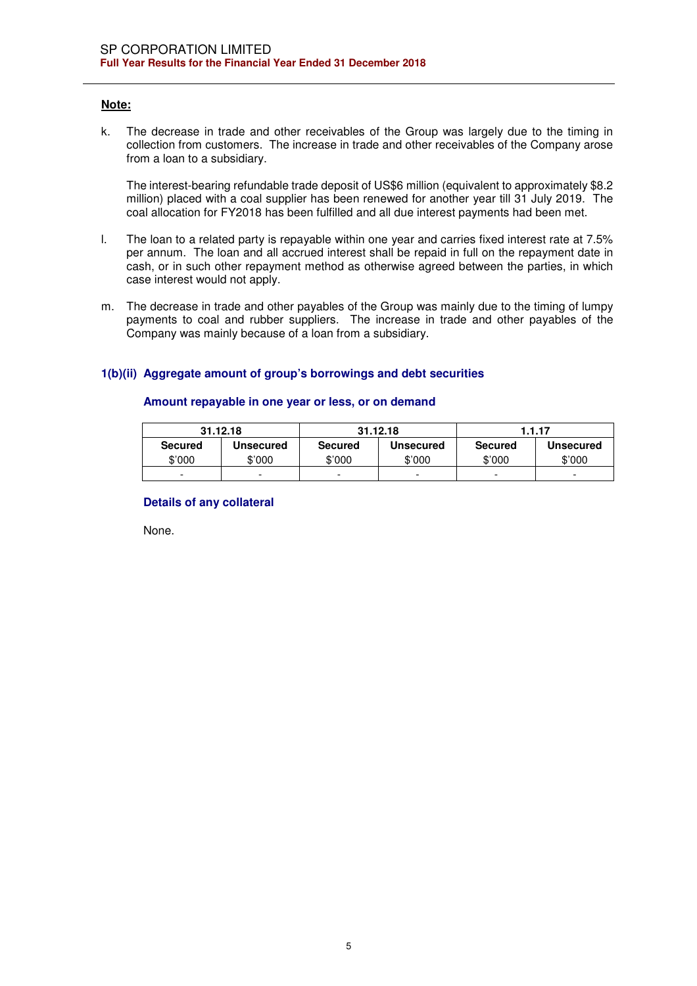## **Note:**

k. The decrease in trade and other receivables of the Group was largely due to the timing in collection from customers. The increase in trade and other receivables of the Company arose from a loan to a subsidiary.

The interest-bearing refundable trade deposit of US\$6 million (equivalent to approximately \$8.2 million) placed with a coal supplier has been renewed for another year till 31 July 2019. The coal allocation for FY2018 has been fulfilled and all due interest payments had been met.

- l. The loan to a related party is repayable within one year and carries fixed interest rate at 7.5% per annum. The loan and all accrued interest shall be repaid in full on the repayment date in cash, or in such other repayment method as otherwise agreed between the parties, in which case interest would not apply.
- m. The decrease in trade and other payables of the Group was mainly due to the timing of lumpy payments to coal and rubber suppliers. The increase in trade and other payables of the Company was mainly because of a loan from a subsidiary.

## **1(b)(ii) Aggregate amount of group's borrowings and debt securities**

## **Amount repayable in one year or less, or on demand**

|                | 31.12.18                 |                | 31.12.18                 |                | 1.1.17                   |
|----------------|--------------------------|----------------|--------------------------|----------------|--------------------------|
| <b>Secured</b> | Unsecured                | <b>Secured</b> | <b>Unsecured</b>         | <b>Secured</b> | Unsecured                |
| \$'000         | \$'000                   | \$'000         | \$'000                   | \$'000         | \$'000                   |
| -              | $\overline{\phantom{a}}$ | -              | $\overline{\phantom{0}}$ | -              | $\overline{\phantom{0}}$ |

## **Details of any collateral**

None.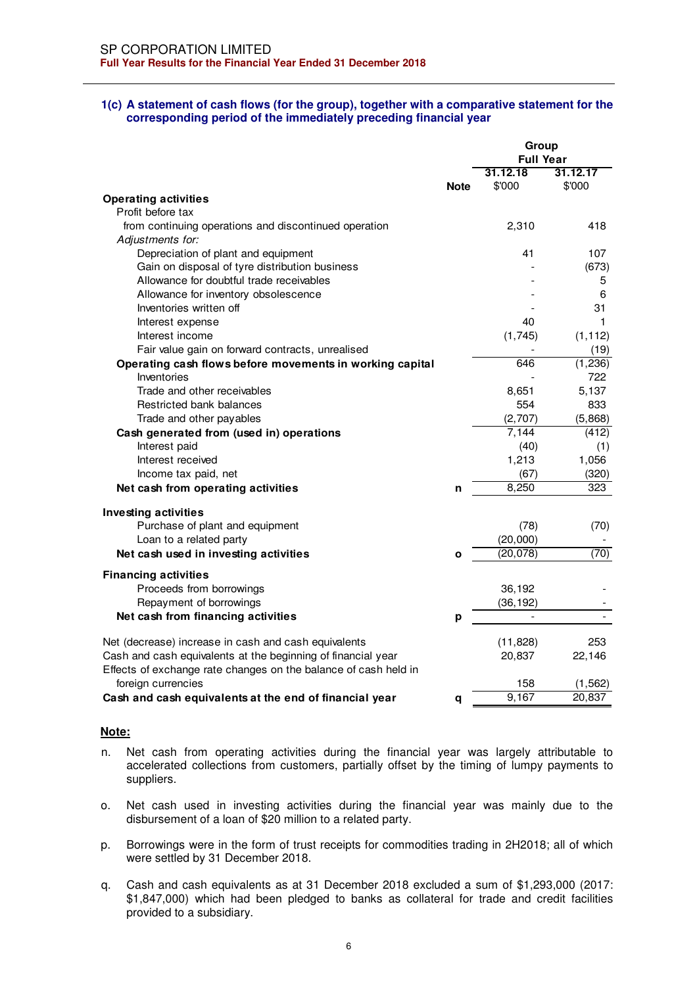#### **1(c) A statement of cash flows (for the group), together with a comparative statement for the corresponding period of the immediately preceding financial year**

|                                                                 |              | Group                        |          |
|-----------------------------------------------------------------|--------------|------------------------------|----------|
|                                                                 |              | <b>Full Year</b>             |          |
|                                                                 |              | 31.12.18                     | 31.12.17 |
|                                                                 | <b>Note</b>  | \$'000                       | \$'000   |
| <b>Operating activities</b>                                     |              |                              |          |
| Profit before tax                                               |              |                              |          |
| from continuing operations and discontinued operation           |              | 2,310                        | 418      |
| Adjustments for:                                                |              |                              |          |
| Depreciation of plant and equipment                             |              | 41                           | 107      |
| Gain on disposal of tyre distribution business                  |              |                              | (673)    |
| Allowance for doubtful trade receivables                        |              |                              | 5        |
| Allowance for inventory obsolescence                            |              |                              | 6        |
| Inventories written off                                         |              |                              | 31       |
| Interest expense                                                |              | 40                           | 1        |
| Interest income                                                 |              | (1,745)                      | (1, 112) |
| Fair value gain on forward contracts, unrealised                |              |                              | (19)     |
| Operating cash flows before movements in working capital        |              | 646                          | (1,236)  |
| Inventories                                                     |              |                              | 722      |
| Trade and other receivables                                     |              | 8,651                        | 5,137    |
| Restricted bank balances                                        |              | 554                          | 833      |
| Trade and other payables                                        |              | (2,707)                      | (5,868)  |
| Cash generated from (used in) operations                        |              | 7,144                        | (412)    |
| Interest paid                                                   |              | (40)                         | (1)      |
| Interest received                                               |              | 1,213                        | 1,056    |
| Income tax paid, net                                            |              | (67)                         | (320)    |
| Net cash from operating activities                              | n            | 8,250                        | 323      |
| <b>Investing activities</b>                                     |              |                              |          |
| Purchase of plant and equipment                                 |              | (78)                         | (70)     |
| Loan to a related party                                         |              | (20,000)                     |          |
| Net cash used in investing activities                           | $\mathbf{o}$ | (20,078)                     | (70)     |
| <b>Financing activities</b>                                     |              |                              |          |
| Proceeds from borrowings                                        |              | 36,192                       |          |
| Repayment of borrowings                                         |              | (36, 192)                    |          |
| Net cash from financing activities                              | р            | $\qquad \qquad \blacksquare$ |          |
| Net (decrease) increase in cash and cash equivalents            |              | (11, 828)                    | 253      |
| Cash and cash equivalents at the beginning of financial year    |              | 20,837                       | 22,146   |
| Effects of exchange rate changes on the balance of cash held in |              |                              |          |
| foreign currencies                                              |              | 158                          | (1, 562) |
| Cash and cash equivalents at the end of financial year          | q            | 9,167                        | 20,837   |
|                                                                 |              |                              |          |

#### **Note:**

- n. Net cash from operating activities during the financial year was largely attributable to accelerated collections from customers, partially offset by the timing of lumpy payments to suppliers.
- o. Net cash used in investing activities during the financial year was mainly due to the disbursement of a loan of \$20 million to a related party.
- p. Borrowings were in the form of trust receipts for commodities trading in 2H2018; all of which were settled by 31 December 2018.
- q. Cash and cash equivalents as at 31 December 2018 excluded a sum of \$1,293,000 (2017: \$1,847,000) which had been pledged to banks as collateral for trade and credit facilities provided to a subsidiary.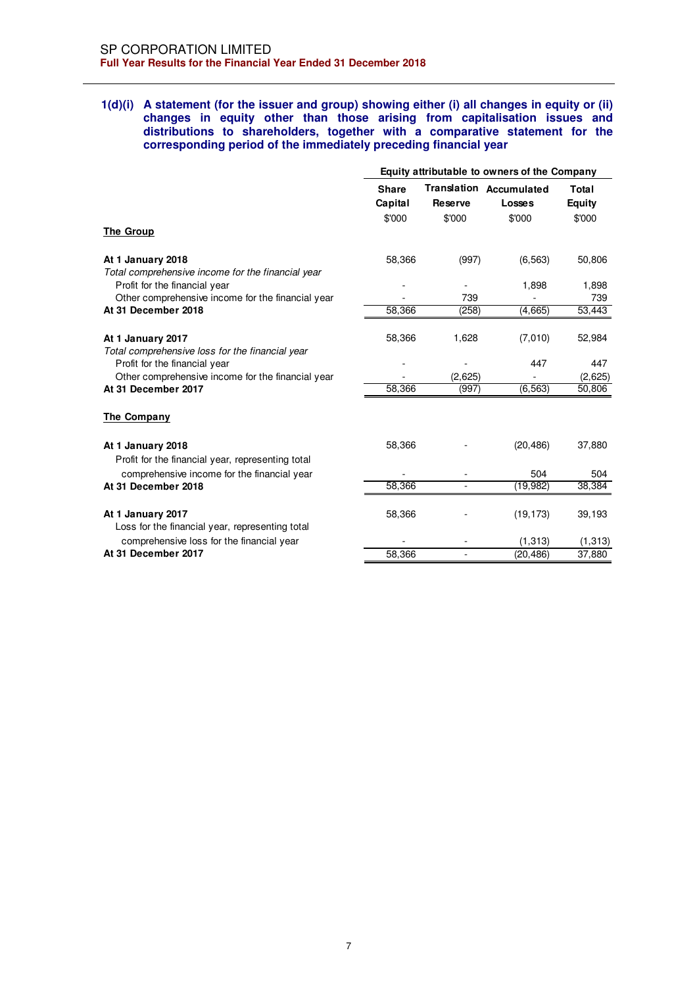### **1(d)(i) A statement (for the issuer and group) showing either (i) all changes in equity or (ii) changes in equity other than those arising from capitalisation issues and distributions to shareholders, together with a comparative statement for the corresponding period of the immediately preceding financial year**

|                                                                                    | Equity attributable to owners of the Company |                          |                                                    |                           |  |
|------------------------------------------------------------------------------------|----------------------------------------------|--------------------------|----------------------------------------------------|---------------------------|--|
|                                                                                    | <b>Share</b><br>Capital<br>\$'000            | <b>Reserve</b><br>\$'000 | <b>Translation Accumulated</b><br>Losses<br>\$'000 | Total<br>Equity<br>\$'000 |  |
| <b>The Group</b>                                                                   |                                              |                          |                                                    |                           |  |
| At 1 January 2018<br>Total comprehensive income for the financial year             | 58.366                                       | (997)                    | (6, 563)                                           | 50,806                    |  |
| Profit for the financial year<br>Other comprehensive income for the financial year |                                              | 739                      | 1,898                                              | 1,898<br>739              |  |
| At 31 December 2018                                                                | 58,366                                       | (258)                    | (4,665)                                            | 53,443                    |  |
| At 1 January 2017<br>Total comprehensive loss for the financial year               | 58.366                                       | 1,628                    | (7,010)                                            | 52,984                    |  |
| Profit for the financial year<br>Other comprehensive income for the financial year |                                              | (2,625)                  | 447                                                | 447<br>(2,625)            |  |
| At 31 December 2017                                                                | 58,366                                       | (997)                    | (6, 563)                                           | 50,806                    |  |
| The Company                                                                        |                                              |                          |                                                    |                           |  |
| At 1 January 2018<br>Profit for the financial year, representing total             | 58,366                                       |                          | (20, 486)                                          | 37,880                    |  |
| comprehensive income for the financial year                                        |                                              |                          | 504                                                | 504                       |  |
| At 31 December 2018                                                                | 58,366                                       |                          | (19, 982)                                          | 38,384                    |  |
| At 1 January 2017<br>Loss for the financial year, representing total               | 58.366                                       |                          | (19, 173)                                          | 39,193                    |  |
| comprehensive loss for the financial year                                          |                                              |                          | (1, 313)                                           | (1,313)                   |  |
| At 31 December 2017                                                                | 58,366                                       | $\blacksquare$           | (20, 486)                                          | 37,880                    |  |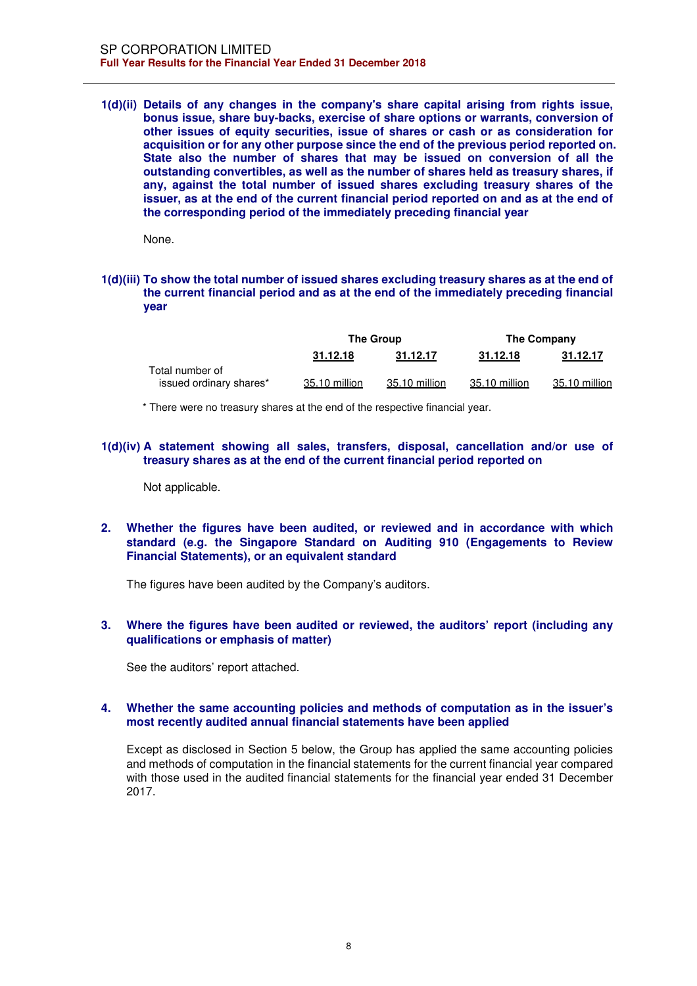#### **1(d)(ii) Details of any changes in the company's share capital arising from rights issue, bonus issue, share buy-backs, exercise of share options or warrants, conversion of other issues of equity securities, issue of shares or cash or as consideration for acquisition or for any other purpose since the end of the previous period reported on. State also the number of shares that may be issued on conversion of all the outstanding convertibles, as well as the number of shares held as treasury shares, if any, against the total number of issued shares excluding treasury shares of the issuer, as at the end of the current financial period reported on and as at the end of the corresponding period of the immediately preceding financial year**

None.

## **1(d)(iii) To show the total number of issued shares excluding treasury shares as at the end of the current financial period and as at the end of the immediately preceding financial year**

|                         | The Group     |               |               | The Company   |
|-------------------------|---------------|---------------|---------------|---------------|
|                         | 31.12.18      | 31.12.17      | 31.12.18      | 31.12.17      |
| Total number of         |               |               |               |               |
| issued ordinary shares* | 35.10 million | 35.10 million | 35.10 million | 35.10 million |

\* There were no treasury shares at the end of the respective financial year.

## **1(d)(iv) A statement showing all sales, transfers, disposal, cancellation and/or use of treasury shares as at the end of the current financial period reported on**

Not applicable.

## **2. Whether the figures have been audited, or reviewed and in accordance with which standard (e.g. the Singapore Standard on Auditing 910 (Engagements to Review Financial Statements), or an equivalent standard**

The figures have been audited by the Company's auditors.

## **3. Where the figures have been audited or reviewed, the auditors' report (including any qualifications or emphasis of matter)**

See the auditors' report attached.

## **4. Whether the same accounting policies and methods of computation as in the issuer's most recently audited annual financial statements have been applied**

Except as disclosed in Section 5 below, the Group has applied the same accounting policies and methods of computation in the financial statements for the current financial year compared with those used in the audited financial statements for the financial year ended 31 December 2017.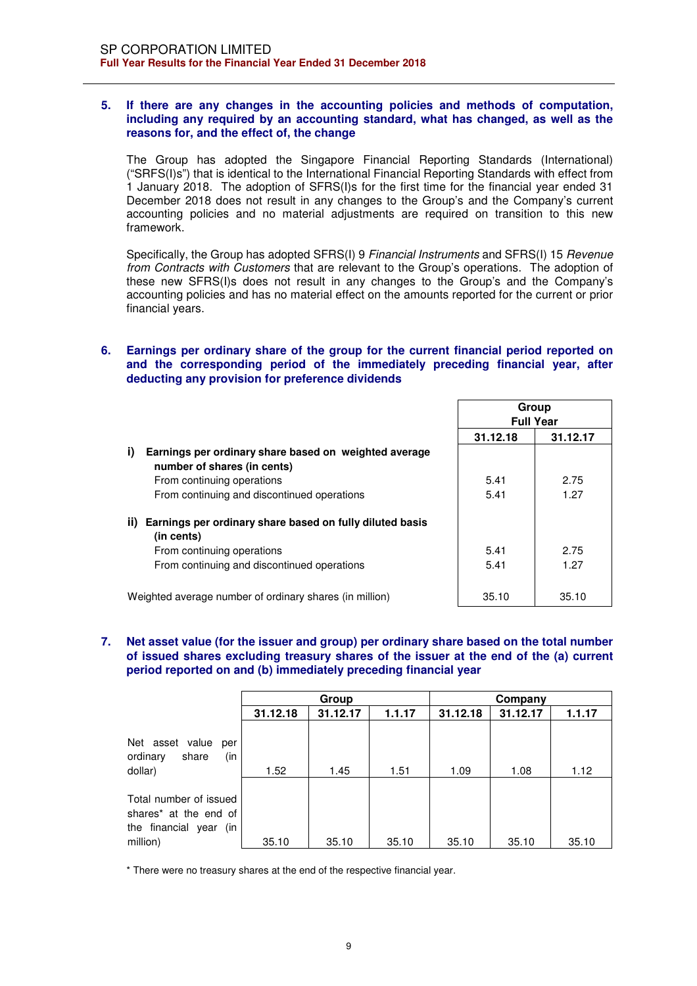## **5. If there are any changes in the accounting policies and methods of computation, including any required by an accounting standard, what has changed, as well as the reasons for, and the effect of, the change**

The Group has adopted the Singapore Financial Reporting Standards (International) ("SRFS(I)s") that is identical to the International Financial Reporting Standards with effect from 1 January 2018. The adoption of SFRS(I)s for the first time for the financial year ended 31 December 2018 does not result in any changes to the Group's and the Company's current accounting policies and no material adjustments are required on transition to this new framework.

Specifically, the Group has adopted SFRS(I) 9 *Financial Instruments* and SFRS(I) 15 *Revenue from Contracts with Customers* that are relevant to the Group's operations. The adoption of these new SFRS(I)s does not result in any changes to the Group's and the Company's accounting policies and has no material effect on the amounts reported for the current or prior financial years.

## **6. Earnings per ordinary share of the group for the current financial period reported on and the corresponding period of the immediately preceding financial year, after deducting any provision for preference dividends**

|                                                                                            | Group<br><b>Full Year</b> |          |
|--------------------------------------------------------------------------------------------|---------------------------|----------|
|                                                                                            | 31.12.18                  | 31.12.17 |
| i)<br>Earnings per ordinary share based on weighted average<br>number of shares (in cents) |                           |          |
| From continuing operations                                                                 | 5.41                      | 2.75     |
| From continuing and discontinued operations                                                | 5.41                      | 1.27     |
| Earnings per ordinary share based on fully diluted basis<br>ii)<br>(in cents)              |                           |          |
| From continuing operations                                                                 | 5.41                      | 2.75     |
| From continuing and discontinued operations                                                | 5.41                      | 1.27     |
| Weighted average number of ordinary shares (in million)                                    | 35.10                     | 35.10    |

**7. Net asset value (for the issuer and group) per ordinary share based on the total number of issued shares excluding treasury shares of the issuer at the end of the (a) current period reported on and (b) immediately preceding financial year** 

|                                                                                                   | Group    |          |        | Company  |          |        |  |
|---------------------------------------------------------------------------------------------------|----------|----------|--------|----------|----------|--------|--|
|                                                                                                   | 31.12.18 | 31.12.17 | 1.1.17 | 31.12.18 | 31.12.17 | 1.1.17 |  |
| Net asset value<br>per<br>ordinary<br>share<br>(in<br>dollar)                                     | 1.52     | 1.45     | 1.51   | 1.09     | 1.08     | 1.12   |  |
| Total number of issued<br>shares <sup>*</sup> at the end of<br>the financial year (in<br>million) | 35.10    | 35.10    | 35.10  | 35.10    | 35.10    | 35.10  |  |

\* There were no treasury shares at the end of the respective financial year.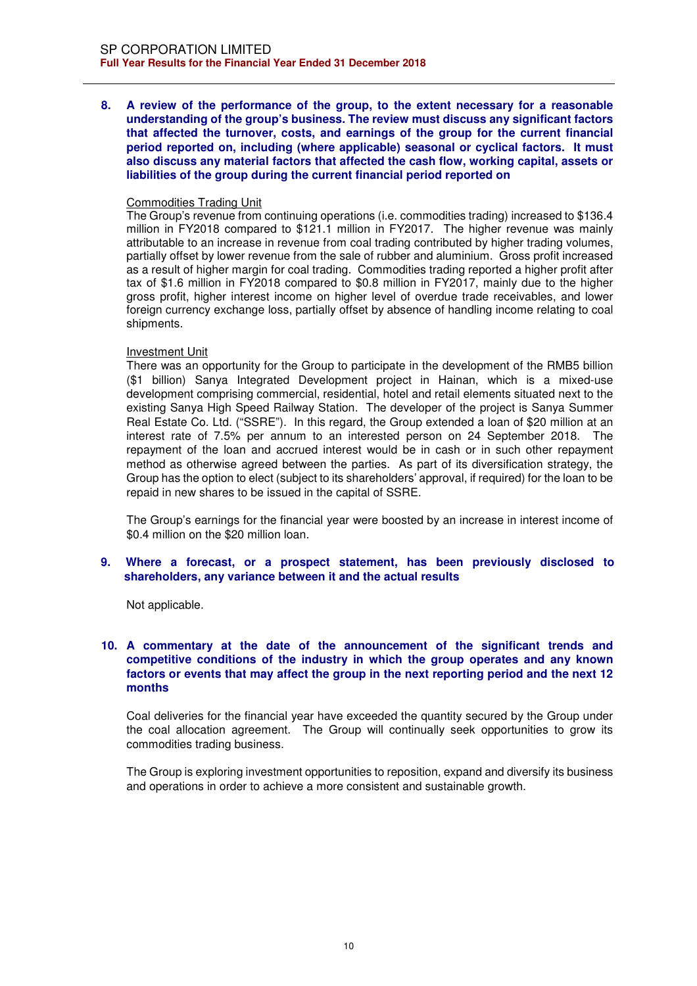**8. A review of the performance of the group, to the extent necessary for a reasonable understanding of the group's business. The review must discuss any significant factors that affected the turnover, costs, and earnings of the group for the current financial period reported on, including (where applicable) seasonal or cyclical factors. It must also discuss any material factors that affected the cash flow, working capital, assets or liabilities of the group during the current financial period reported on** 

### Commodities Trading Unit

The Group's revenue from continuing operations (i.e. commodities trading) increased to \$136.4 million in FY2018 compared to \$121.1 million in FY2017. The higher revenue was mainly attributable to an increase in revenue from coal trading contributed by higher trading volumes, partially offset by lower revenue from the sale of rubber and aluminium. Gross profit increased as a result of higher margin for coal trading. Commodities trading reported a higher profit after tax of \$1.6 million in FY2018 compared to \$0.8 million in FY2017, mainly due to the higher gross profit, higher interest income on higher level of overdue trade receivables, and lower foreign currency exchange loss, partially offset by absence of handling income relating to coal shipments.

## Investment Unit

There was an opportunity for the Group to participate in the development of the RMB5 billion (\$1 billion) Sanya Integrated Development project in Hainan, which is a mixed-use development comprising commercial, residential, hotel and retail elements situated next to the existing Sanya High Speed Railway Station. The developer of the project is Sanya Summer Real Estate Co. Ltd. ("SSRE"). In this regard, the Group extended a loan of \$20 million at an interest rate of 7.5% per annum to an interested person on 24 September 2018. The repayment of the loan and accrued interest would be in cash or in such other repayment method as otherwise agreed between the parties. As part of its diversification strategy, the Group has the option to elect (subject to its shareholders' approval, if required) for the loan to be repaid in new shares to be issued in the capital of SSRE.

The Group's earnings for the financial year were boosted by an increase in interest income of \$0.4 million on the \$20 million loan.

**9. Where a forecast, or a prospect statement, has been previously disclosed to shareholders, any variance between it and the actual results** 

Not applicable.

## **10. A commentary at the date of the announcement of the significant trends and competitive conditions of the industry in which the group operates and any known factors or events that may affect the group in the next reporting period and the next 12 months**

Coal deliveries for the financial year have exceeded the quantity secured by the Group under the coal allocation agreement. The Group will continually seek opportunities to grow its commodities trading business.

The Group is exploring investment opportunities to reposition, expand and diversify its business and operations in order to achieve a more consistent and sustainable growth.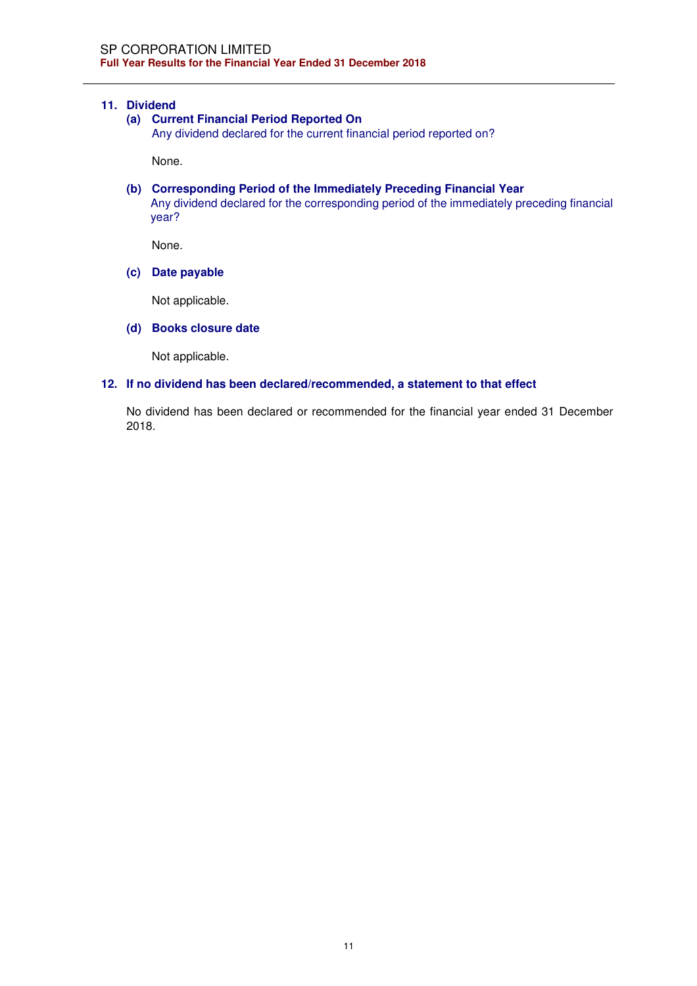## **11. Dividend**

### **(a) Current Financial Period Reported On**

Any dividend declared for the current financial period reported on?

None.

**(b) Corresponding Period of the Immediately Preceding Financial Year**  Any dividend declared for the corresponding period of the immediately preceding financial year?

None.

**(c) Date payable** 

Not applicable.

**(d) Books closure date** 

Not applicable.

#### **12. If no dividend has been declared/recommended, a statement to that effect**

No dividend has been declared or recommended for the financial year ended 31 December 2018.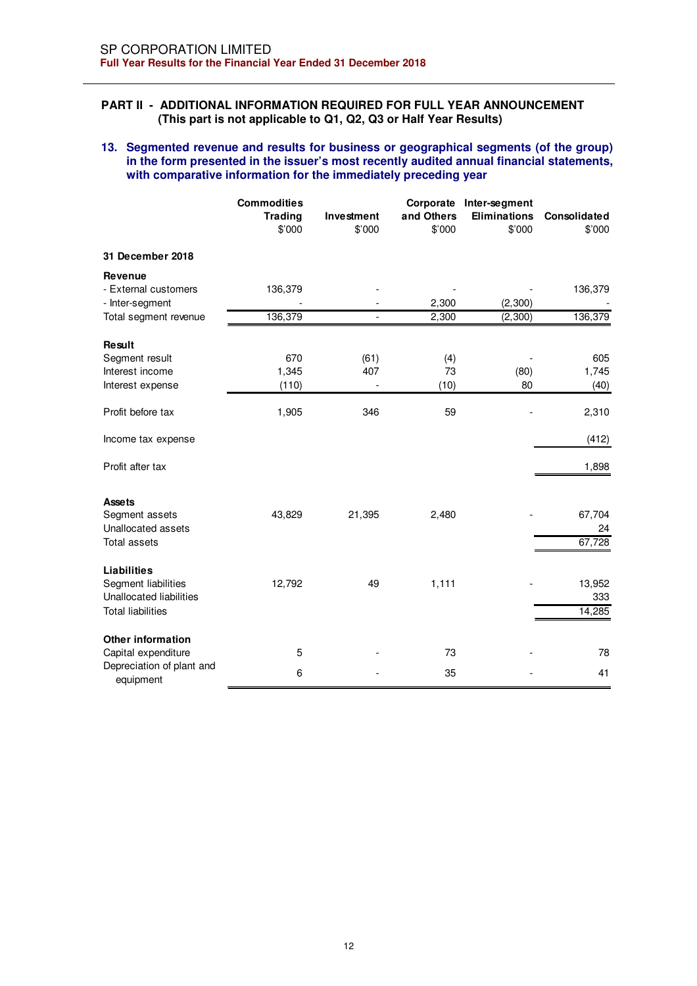## **PART II - ADDITIONAL INFORMATION REQUIRED FOR FULL YEAR ANNOUNCEMENT (This part is not applicable to Q1, Q2, Q3 or Half Year Results)**

## **13. Segmented revenue and results for business or geographical segments (of the group) in the form presented in the issuer's most recently audited annual financial statements, with comparative information for the immediately preceding year**

|                                                                                                  | <b>Commodities</b><br><b>Trading</b><br>\$'000 | Investment<br>\$'000 | and Others<br>\$'000 | Corporate Inter-segment<br><b>Eliminations</b><br>\$'000 | Consolidated<br>\$'000  |
|--------------------------------------------------------------------------------------------------|------------------------------------------------|----------------------|----------------------|----------------------------------------------------------|-------------------------|
| 31 December 2018                                                                                 |                                                |                      |                      |                                                          |                         |
| <b>Revenue</b><br>- External customers<br>- Inter-segment                                        | 136,379                                        |                      | 2,300                | (2,300)                                                  | 136,379                 |
| Total segment revenue                                                                            | 136,379                                        | $\overline{a}$       | 2,300                | (2, 300)                                                 | 136,379                 |
| <b>Result</b><br>Segment result<br>Interest income<br>Interest expense                           | 670<br>1,345<br>(110)                          | (61)<br>407          | (4)<br>73<br>(10)    | (80)<br>80                                               | 605<br>1,745<br>(40)    |
| Profit before tax                                                                                | 1,905                                          | 346                  | 59                   |                                                          | 2,310                   |
| Income tax expense                                                                               |                                                |                      |                      |                                                          | (412)                   |
| Profit after tax                                                                                 |                                                |                      |                      |                                                          | 1,898                   |
| <b>Assets</b><br>Segment assets<br>Unallocated assets<br><b>Total assets</b>                     | 43,829                                         | 21,395               | 2,480                |                                                          | 67,704<br>24<br>67,728  |
| <b>Liabilities</b><br>Segment liabilities<br>Unallocated liabilities<br><b>Total liabilities</b> | 12,792                                         | 49                   | 1,111                |                                                          | 13,952<br>333<br>14,285 |
| <b>Other information</b><br>Capital expenditure<br>Depreciation of plant and<br>equipment        | 5<br>6                                         |                      | 73<br>35             |                                                          | 78<br>41                |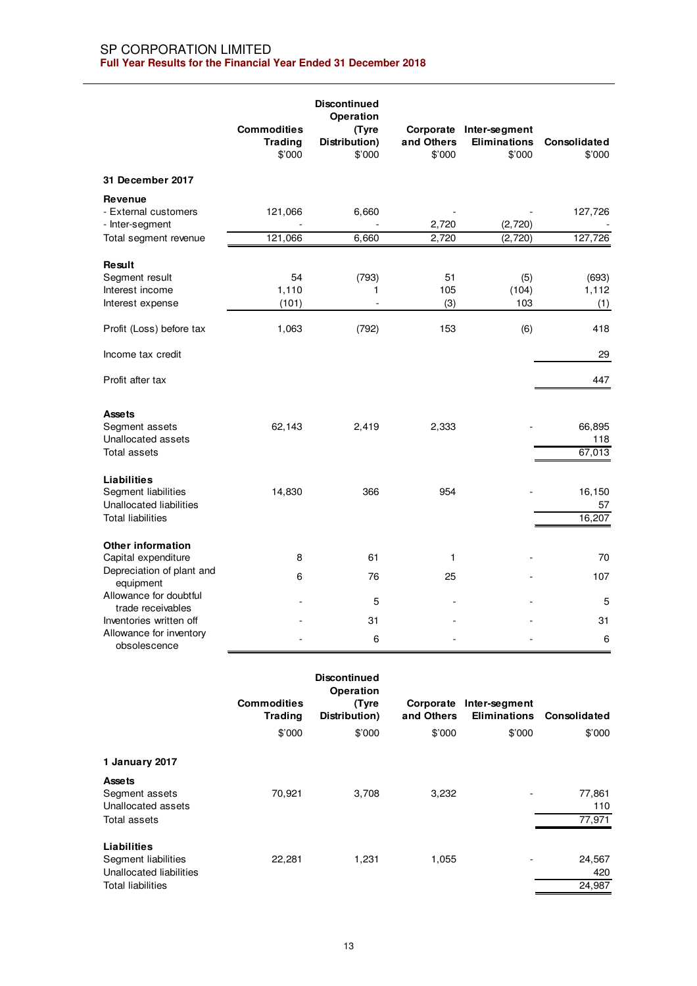|                                                                                                  | <b>Commodities</b><br><b>Trading</b><br>\$'000 | <b>Discontinued</b><br>Operation<br>(Tyre<br>Distribution)<br>\$'000 | and Others<br>\$'000 | Corporate Inter-segment<br><b>Eliminations</b><br>\$'000 | Consolidated<br>\$'000  |
|--------------------------------------------------------------------------------------------------|------------------------------------------------|----------------------------------------------------------------------|----------------------|----------------------------------------------------------|-------------------------|
| 31 December 2017                                                                                 |                                                |                                                                      |                      |                                                          |                         |
| Revenue<br>- External customers<br>- Inter-segment                                               | 121,066                                        | 6,660                                                                | 2,720                | (2,720)                                                  | 127,726                 |
| Total segment revenue                                                                            | 121,066                                        | 6,660                                                                | 2,720                | (2,720)                                                  | 127,726                 |
| Result<br>Segment result<br>Interest income<br>Interest expense                                  | 54<br>1,110<br>(101)                           | (793)<br>1                                                           | 51<br>105<br>(3)     | (5)<br>(104)<br>103                                      | (693)<br>1,112<br>(1)   |
| Profit (Loss) before tax                                                                         | 1,063                                          | (792)                                                                | 153                  | (6)                                                      | 418                     |
| Income tax credit                                                                                |                                                |                                                                      |                      |                                                          | 29                      |
| Profit after tax                                                                                 |                                                |                                                                      |                      |                                                          | 447                     |
| <b>Assets</b><br>Segment assets<br>Unallocated assets<br>Total assets                            | 62,143                                         | 2,419                                                                | 2,333                |                                                          | 66,895<br>118<br>67,013 |
| <b>Liabilities</b><br>Segment liabilities<br>Unallocated liabilities<br><b>Total liabilities</b> | 14,830                                         | 366                                                                  | 954                  |                                                          | 16,150<br>57<br>16,207  |
| <b>Other information</b><br>Capital expenditure<br>Depreciation of plant and<br>equipment        | 8<br>6                                         | 61<br>76                                                             | $\mathbf{1}$<br>25   |                                                          | 70<br>107               |
| Allowance for doubtful<br>trade receivables                                                      |                                                | 5                                                                    |                      |                                                          | 5                       |
| Inventories written off<br>Allowance for inventory<br>obsolescence                               |                                                | 31<br>6                                                              |                      |                                                          | 31<br>6                 |
|                                                                                                  | <b>Commodities</b><br><b>Trading</b><br>\$'000 | <b>Discontinued</b><br>Operation<br>(Tyre<br>Distribution)<br>\$'000 | and Others<br>\$'000 | Corporate Inter-segment<br><b>Eliminations</b><br>\$'000 | Consolidated<br>\$'000  |
| 1 January 2017                                                                                   |                                                |                                                                      |                      |                                                          |                         |
| <b>Assets</b><br>Segment assets<br>Unallocated assets                                            | 70,921                                         | 3,708                                                                | 3,232                |                                                          | 77,861<br>110           |

| Total assets             |        |       |       | 77.971                             |
|--------------------------|--------|-------|-------|------------------------------------|
| Liabilities              |        |       |       |                                    |
| Segment liabilities      | 22.281 | 1.231 | 1.055 | 24.567<br>$\overline{\phantom{0}}$ |
| Unallocated liabilities  |        |       |       | 420                                |
| <b>Total liabilities</b> |        |       |       | 24.987                             |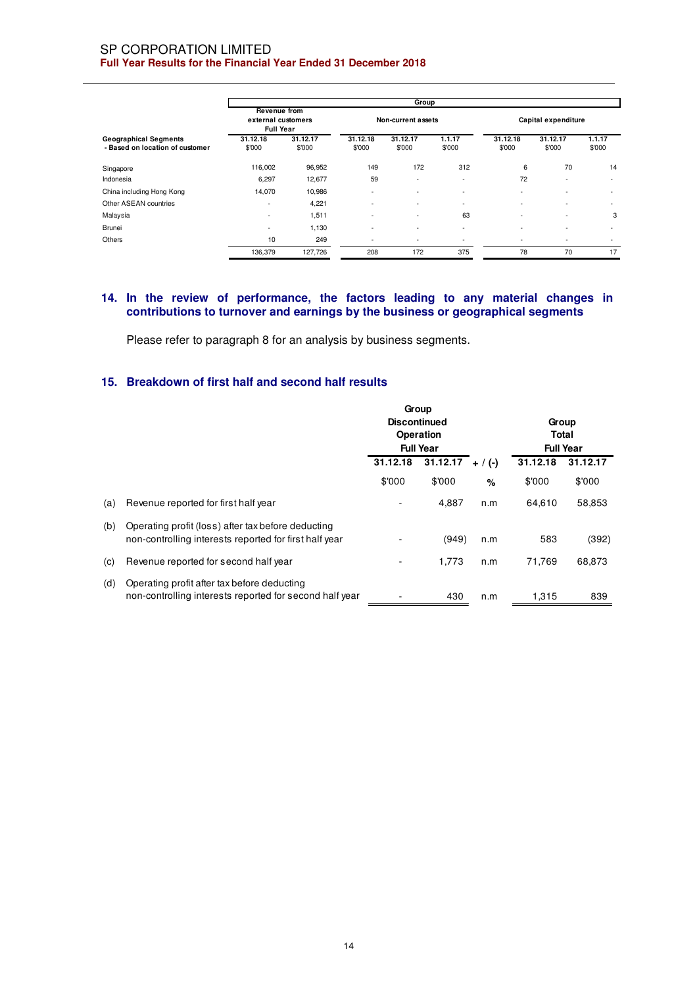#### SP CORPORATION LIMITED **Full Year Results for the Financial Year Ended 31 December 2018**

|                                                                 | Group                                                         |                    |                          |                          |                          |                          |                          |                          |
|-----------------------------------------------------------------|---------------------------------------------------------------|--------------------|--------------------------|--------------------------|--------------------------|--------------------------|--------------------------|--------------------------|
|                                                                 | <b>Revenue from</b><br>external customers<br><b>Full Year</b> |                    |                          | Non-current assets       |                          |                          | Capital expenditure      |                          |
| <b>Geographical Segments</b><br>- Based on location of customer | 31.12.18<br>\$'000                                            | 31.12.17<br>\$'000 | 31.12.18<br>\$'000       | 31.12.17<br>\$'000       | 1.1.17<br>\$'000         | 31.12.18<br>\$'000       | 31.12.17<br>\$'000       | 1.1.17<br>\$'000         |
| Singapore                                                       | 116,002                                                       | 96,952             | 149                      | 172                      | 312                      | 6                        | 70                       | 14                       |
| Indonesia                                                       | 6,297                                                         | 12,677             | 59                       | $\overline{\phantom{a}}$ | $\overline{\phantom{a}}$ | 72                       |                          |                          |
| China including Hong Kong                                       | 14,070                                                        | 10,986             | ٠                        | $\overline{\phantom{a}}$ | $\overline{\phantom{a}}$ | $\overline{\phantom{a}}$ |                          | $\overline{\phantom{a}}$ |
| Other ASEAN countries                                           | $\overline{\phantom{a}}$                                      | 4,221              | $\sim$                   | $\overline{\phantom{a}}$ | $\overline{\phantom{a}}$ |                          |                          | $\overline{\phantom{a}}$ |
| Malaysia                                                        | $\overline{\phantom{a}}$                                      | 1,511              | $\overline{\phantom{a}}$ | $\overline{\phantom{a}}$ | 63                       | $\overline{\phantom{a}}$ | $\overline{\phantom{a}}$ | 3                        |
| <b>Brunei</b>                                                   | $\overline{\phantom{a}}$                                      | 1,130              | $\overline{\phantom{a}}$ | ٠                        | $\overline{\phantom{a}}$ |                          |                          | $\overline{\phantom{a}}$ |
| Others                                                          | 10                                                            | 249                | $\overline{\phantom{a}}$ | $\overline{\phantom{a}}$ | $\overline{\phantom{a}}$ | $\overline{\phantom{a}}$ | $\overline{\phantom{a}}$ | ٠                        |
|                                                                 | 136,379                                                       | 127,726            | 208                      | 172                      | 375                      | 78                       | 70                       | 17                       |

## **14. In the review of performance, the factors leading to any material changes in contributions to turnover and earnings by the business or geographical segments**

Please refer to paragraph 8 for an analysis by business segments.

# **15. Breakdown of first half and second half results**

|     |                                                                                                              | Group<br><b>Discontinued</b><br>Operation<br><b>Full Year</b> |        |                       | Group<br>Total<br><b>Full Year</b> |          |  |
|-----|--------------------------------------------------------------------------------------------------------------|---------------------------------------------------------------|--------|-----------------------|------------------------------------|----------|--|
|     |                                                                                                              | 31.12.18<br>31.12.17                                          |        | 31.12.18<br>$+ / (-)$ |                                    | 31.12.17 |  |
|     |                                                                                                              | \$'000                                                        | \$'000 | $\%$                  | \$'000                             | \$'000   |  |
| (a) | Revenue reported for first half year                                                                         |                                                               | 4.887  | n.m                   | 64.610                             | 58,853   |  |
| (b) | Operating profit (loss) after tax before deducting<br>non-controlling interests reported for first half year |                                                               | (949)  | n.m                   | 583                                | (392)    |  |
| (c) | Revenue reported for second half year                                                                        |                                                               | 1,773  | n.m                   | 71,769                             | 68,873   |  |
| (d) | Operating profit after tax before deducting<br>non-controlling interests reported for second half year       |                                                               | 430    | n.m                   | 1,315                              | 839      |  |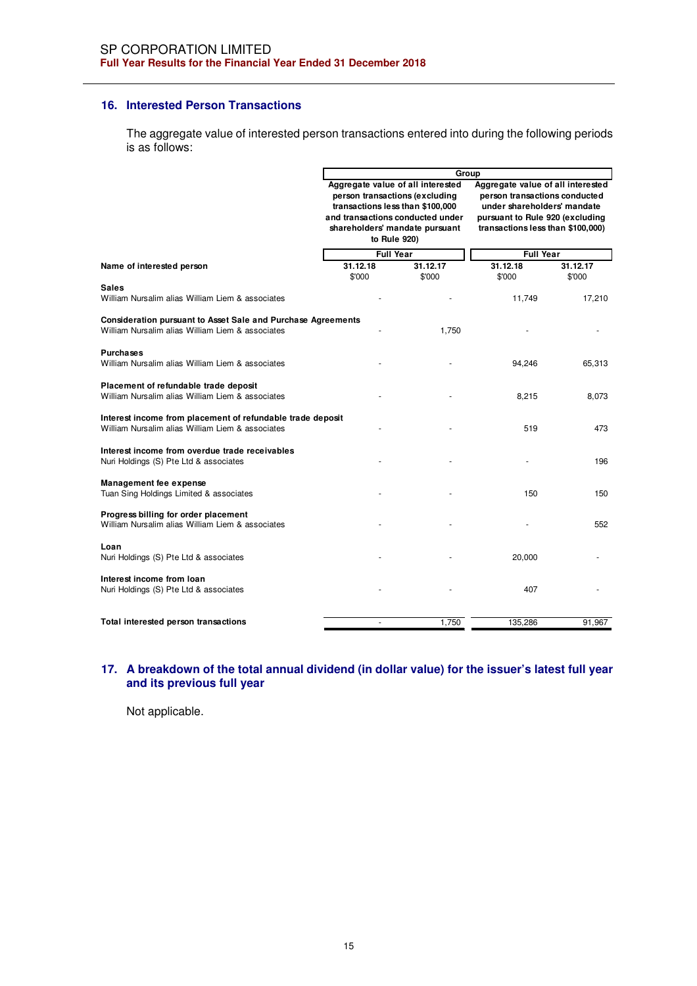### **16. Interested Person Transactions**

The aggregate value of interested person transactions entered into during the following periods is as follows:

|                                                                                                                  |                                                                                                                                                                                               | Group              |                                                                                                                                                                           |                    |  |  |  |
|------------------------------------------------------------------------------------------------------------------|-----------------------------------------------------------------------------------------------------------------------------------------------------------------------------------------------|--------------------|---------------------------------------------------------------------------------------------------------------------------------------------------------------------------|--------------------|--|--|--|
|                                                                                                                  | Aggregate value of all interested<br>person transactions (excluding<br>transactions less than \$100,000<br>and transactions conducted under<br>shareholders' mandate pursuant<br>to Rule 920) |                    | Aggregate value of all interested<br>person transactions conducted<br>under shareholders' mandate<br>pursuant to Rule 920 (excluding<br>transactions less than \$100,000) |                    |  |  |  |
|                                                                                                                  | <b>Full Year</b>                                                                                                                                                                              |                    | <b>Full Year</b>                                                                                                                                                          |                    |  |  |  |
| Name of interested person                                                                                        | 31.12.18<br>\$'000                                                                                                                                                                            | 31.12.17<br>\$'000 | 31.12.18<br>\$'000                                                                                                                                                        | 31.12.17<br>\$'000 |  |  |  |
| <b>Sales</b>                                                                                                     |                                                                                                                                                                                               |                    |                                                                                                                                                                           |                    |  |  |  |
| William Nursalim alias William Liem & associates                                                                 |                                                                                                                                                                                               |                    | 11,749                                                                                                                                                                    | 17,210             |  |  |  |
| Consideration pursuant to Asset Sale and Purchase Agreements<br>William Nursalim alias William Liem & associates |                                                                                                                                                                                               | 1,750              |                                                                                                                                                                           |                    |  |  |  |
| <b>Purchases</b><br>William Nursalim alias William Liem & associates                                             |                                                                                                                                                                                               |                    | 94,246                                                                                                                                                                    | 65,313             |  |  |  |
| Placement of refundable trade deposit<br>William Nursalim alias William Liem & associates                        |                                                                                                                                                                                               |                    | 8,215                                                                                                                                                                     | 8,073              |  |  |  |
| Interest income from placement of refundable trade deposit<br>William Nursalim alias William Liem & associates   |                                                                                                                                                                                               |                    | 519                                                                                                                                                                       | 473                |  |  |  |
| Interest income from overdue trade receivables<br>Nuri Holdings (S) Pte Ltd & associates                         |                                                                                                                                                                                               |                    |                                                                                                                                                                           | 196                |  |  |  |
| Management fee expense<br>Tuan Sing Holdings Limited & associates                                                |                                                                                                                                                                                               |                    | 150                                                                                                                                                                       | 150                |  |  |  |
| Progress billing for order placement<br>William Nursalim alias William Liem & associates                         |                                                                                                                                                                                               |                    |                                                                                                                                                                           | 552                |  |  |  |
| Loan<br>Nuri Holdings (S) Pte Ltd & associates                                                                   |                                                                                                                                                                                               |                    | 20,000                                                                                                                                                                    |                    |  |  |  |
| Interest income from loan<br>Nuri Holdings (S) Pte Ltd & associates                                              |                                                                                                                                                                                               |                    | 407                                                                                                                                                                       |                    |  |  |  |
| Total interested person transactions                                                                             |                                                                                                                                                                                               | 1.750              | 135,286                                                                                                                                                                   | 91,967             |  |  |  |

## **17. A breakdown of the total annual dividend (in dollar value) for the issuer's latest full year and its previous full year**

Not applicable.